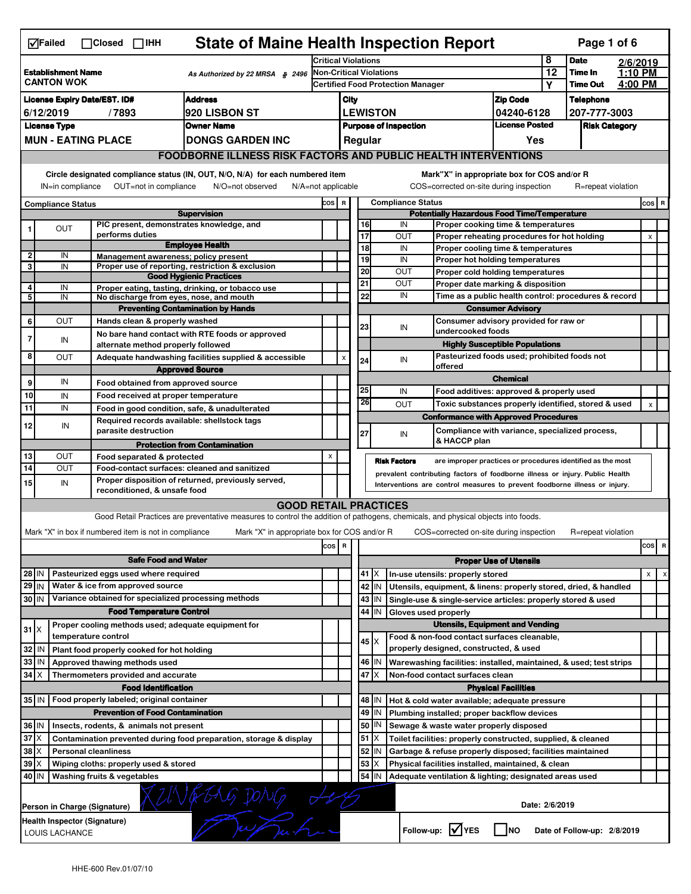|                                                                               | <b>State of Maine Health Inspection Report</b><br>Page 1 of 6<br>$\nabla$ Failed<br>$\Box$ Closed $\Box$ IHH                                                              |  |                                                                     |                                                                                                                                   |                                                                     |                           |                       |             |                                                                                                                                                            |                   |                                                                                        |                            |                    |  |                |   |
|-------------------------------------------------------------------------------|---------------------------------------------------------------------------------------------------------------------------------------------------------------------------|--|---------------------------------------------------------------------|-----------------------------------------------------------------------------------------------------------------------------------|---------------------------------------------------------------------|---------------------------|-----------------------|-------------|------------------------------------------------------------------------------------------------------------------------------------------------------------|-------------------|----------------------------------------------------------------------------------------|----------------------------|--------------------|--|----------------|---|
|                                                                               |                                                                                                                                                                           |  |                                                                     | <b>Critical Violations</b>                                                                                                        |                                                                     |                           |                       |             |                                                                                                                                                            | 8                 | <b>Date</b>                                                                            | 2/6/2019                   |                    |  |                |   |
|                                                                               | <b>Establishment Name</b><br><b>CANTON WOK</b>                                                                                                                            |  |                                                                     | As Authorized by 22 MRSA § 2496                                                                                                   | Non-Critical Violations<br><b>Certified Food Protection Manager</b> |                           |                       |             |                                                                                                                                                            |                   | 12                                                                                     | Time In<br><b>Time Out</b> | 1:10 PM<br>4:00 PM |  |                |   |
|                                                                               |                                                                                                                                                                           |  |                                                                     |                                                                                                                                   |                                                                     |                           |                       |             |                                                                                                                                                            |                   |                                                                                        | Υ                          |                    |  |                |   |
| <b>Address</b><br><b>License Expiry Date/EST. ID#</b><br><b>920 LISBON ST</b> |                                                                                                                                                                           |  |                                                                     | <b>Zip Code</b><br>City<br><b>LEWISTON</b>                                                                                        |                                                                     |                           |                       |             | <b>Telephone</b>                                                                                                                                           |                   |                                                                                        |                            |                    |  |                |   |
| 6/12/2019<br>/7893<br><b>License Type</b><br><b>Owner Name</b>                |                                                                                                                                                                           |  |                                                                     |                                                                                                                                   | 04240-6128<br><b>License Posted</b><br><b>Purpose of Inspection</b> |                           |                       |             |                                                                                                                                                            | 207-777-3003      |                                                                                        |                            |                    |  |                |   |
|                                                                               |                                                                                                                                                                           |  | <b>MUN - EATING PLACE</b>                                           | <b>DONGS GARDEN INC</b>                                                                                                           | Regular                                                             |                           |                       |             |                                                                                                                                                            |                   | <b>Risk Category</b>                                                                   |                            |                    |  |                |   |
|                                                                               |                                                                                                                                                                           |  |                                                                     | <b>FOODBORNE ILLNESS RISK FACTORS AND PUBLIC HEALTH INTERVENTIONS</b>                                                             |                                                                     |                           |                       |             |                                                                                                                                                            |                   | Yes                                                                                    |                            |                    |  |                |   |
|                                                                               |                                                                                                                                                                           |  |                                                                     |                                                                                                                                   |                                                                     |                           |                       |             |                                                                                                                                                            |                   |                                                                                        |                            |                    |  |                |   |
|                                                                               | Circle designated compliance status (IN, OUT, N/O, N/A) for each numbered item<br>OUT=not in compliance<br>IN=in compliance<br>N/O=not observed<br>$N/A = not$ applicable |  |                                                                     |                                                                                                                                   |                                                                     |                           |                       |             |                                                                                                                                                            |                   | Mark"X" in appropriate box for COS and/or R<br>COS=corrected on-site during inspection |                            | R=repeat violation |  |                |   |
|                                                                               | <b>Compliance Status</b>                                                                                                                                                  |  |                                                                     |                                                                                                                                   | COS R                                                               |                           |                       |             | <b>Compliance Status</b>                                                                                                                                   |                   |                                                                                        |                            |                    |  | COS R          |   |
|                                                                               |                                                                                                                                                                           |  |                                                                     | <b>Supervision</b>                                                                                                                |                                                                     |                           |                       |             |                                                                                                                                                            |                   | <b>Potentially Hazardous Food Time/Temperature</b>                                     |                            |                    |  |                |   |
|                                                                               | OUT                                                                                                                                                                       |  | PIC present, demonstrates knowledge, and<br>performs duties         |                                                                                                                                   |                                                                     |                           | 16<br>$\overline{17}$ |             | IN<br>OUT                                                                                                                                                  |                   | Proper cooking time & temperatures<br>Proper reheating procedures for hot holding      |                            |                    |  | X              |   |
|                                                                               |                                                                                                                                                                           |  |                                                                     | <b>Employee Health</b>                                                                                                            |                                                                     |                           | 18                    |             | IN                                                                                                                                                         |                   | Proper cooling time & temperatures                                                     |                            |                    |  |                |   |
| 2                                                                             | IN                                                                                                                                                                        |  | Management awareness; policy present                                |                                                                                                                                   |                                                                     |                           | 19                    |             | IN                                                                                                                                                         |                   | Proper hot holding temperatures                                                        |                            |                    |  |                |   |
| 3                                                                             | IN                                                                                                                                                                        |  |                                                                     | Proper use of reporting, restriction & exclusion                                                                                  |                                                                     |                           | $\overline{20}$       |             | OUT                                                                                                                                                        |                   | Proper cold holding temperatures                                                       |                            |                    |  |                |   |
| 4                                                                             | IN                                                                                                                                                                        |  |                                                                     | <b>Good Hygienic Practices</b><br>Proper eating, tasting, drinking, or tobacco use                                                |                                                                     |                           | 21                    |             | OUT                                                                                                                                                        |                   | Proper date marking & disposition                                                      |                            |                    |  |                |   |
| 5                                                                             | IN                                                                                                                                                                        |  | No discharge from eyes, nose, and mouth                             |                                                                                                                                   |                                                                     |                           | 22                    |             | IN                                                                                                                                                         |                   | Time as a public health control: procedures & record                                   |                            |                    |  |                |   |
|                                                                               |                                                                                                                                                                           |  |                                                                     | <b>Preventing Contamination by Hands</b>                                                                                          |                                                                     |                           |                       |             |                                                                                                                                                            |                   | <b>Consumer Advisory</b>                                                               |                            |                    |  |                |   |
| 6                                                                             | OUT                                                                                                                                                                       |  | Hands clean & properly washed                                       |                                                                                                                                   |                                                                     |                           | 23                    |             | IN                                                                                                                                                         |                   | Consumer advisory provided for raw or                                                  |                            |                    |  |                |   |
| 7                                                                             | IN                                                                                                                                                                        |  |                                                                     | No bare hand contact with RTE foods or approved                                                                                   |                                                                     |                           |                       |             |                                                                                                                                                            | undercooked foods |                                                                                        |                            |                    |  |                |   |
|                                                                               |                                                                                                                                                                           |  | alternate method properly followed                                  |                                                                                                                                   |                                                                     |                           |                       |             |                                                                                                                                                            |                   | <b>Highly Susceptible Populations</b>                                                  |                            |                    |  |                |   |
| 8                                                                             | <b>OUT</b>                                                                                                                                                                |  |                                                                     | Adequate handwashing facilities supplied & accessible                                                                             |                                                                     | $\boldsymbol{\mathsf{x}}$ | 24                    |             | IN<br>offered                                                                                                                                              |                   | Pasteurized foods used; prohibited foods not                                           |                            |                    |  |                |   |
|                                                                               |                                                                                                                                                                           |  |                                                                     | <b>Approved Source</b>                                                                                                            |                                                                     |                           |                       |             |                                                                                                                                                            |                   | <b>Chemical</b>                                                                        |                            |                    |  |                |   |
| 9                                                                             | IN                                                                                                                                                                        |  | Food obtained from approved source                                  |                                                                                                                                   |                                                                     |                           | 25                    |             | IN                                                                                                                                                         |                   | Food additives: approved & properly used                                               |                            |                    |  |                |   |
| 10                                                                            | IN                                                                                                                                                                        |  | Food received at proper temperature                                 |                                                                                                                                   |                                                                     |                           | 26                    |             | <b>OUT</b>                                                                                                                                                 |                   | Toxic substances properly identified, stored & used                                    |                            |                    |  | $\pmb{\times}$ |   |
| 11                                                                            | IN                                                                                                                                                                        |  | Food in good condition, safe, & unadulterated                       |                                                                                                                                   |                                                                     |                           |                       |             |                                                                                                                                                            |                   | <b>Conformance with Approved Procedures</b>                                            |                            |                    |  |                |   |
| 12                                                                            | IN                                                                                                                                                                        |  | Required records available: shellstock tags<br>parasite destruction |                                                                                                                                   |                                                                     |                           |                       |             |                                                                                                                                                            |                   | Compliance with variance, specialized process,                                         |                            |                    |  |                |   |
|                                                                               |                                                                                                                                                                           |  |                                                                     | <b>Protection from Contamination</b>                                                                                              |                                                                     |                           | 27                    |             | IN                                                                                                                                                         | & HACCP plan      |                                                                                        |                            |                    |  |                |   |
| 13                                                                            | OUT                                                                                                                                                                       |  | Food separated & protected                                          |                                                                                                                                   | X                                                                   |                           |                       |             |                                                                                                                                                            |                   |                                                                                        |                            |                    |  |                |   |
| 14                                                                            | OUT                                                                                                                                                                       |  | Food-contact surfaces: cleaned and sanitized                        |                                                                                                                                   |                                                                     |                           |                       |             | <b>Risk Factors</b>                                                                                                                                        |                   | are improper practices or procedures identified as the most                            |                            |                    |  |                |   |
| 15                                                                            | IN                                                                                                                                                                        |  |                                                                     | Proper disposition of returned, previously served,                                                                                |                                                                     |                           |                       |             | prevalent contributing factors of foodborne illness or injury. Public Health<br>Interventions are control measures to prevent foodborne illness or injury. |                   |                                                                                        |                            |                    |  |                |   |
|                                                                               |                                                                                                                                                                           |  | reconditioned, & unsafe food                                        |                                                                                                                                   |                                                                     |                           |                       |             |                                                                                                                                                            |                   |                                                                                        |                            |                    |  |                |   |
|                                                                               |                                                                                                                                                                           |  |                                                                     | <b>GOOD RETAIL PRACTICES</b>                                                                                                      |                                                                     |                           |                       |             |                                                                                                                                                            |                   |                                                                                        |                            |                    |  |                |   |
|                                                                               |                                                                                                                                                                           |  |                                                                     | Good Retail Practices are preventative measures to control the addition of pathogens, chemicals, and physical objects into foods. |                                                                     |                           |                       |             |                                                                                                                                                            |                   |                                                                                        |                            |                    |  |                |   |
|                                                                               |                                                                                                                                                                           |  | Mark "X" in box if numbered item is not in compliance               | Mark "X" in appropriate box for COS and/or R                                                                                      |                                                                     |                           |                       |             |                                                                                                                                                            |                   | COS=corrected on-site during inspection                                                |                            | R=repeat violation |  |                |   |
|                                                                               |                                                                                                                                                                           |  |                                                                     |                                                                                                                                   | cos                                                                 | R                         |                       |             |                                                                                                                                                            |                   |                                                                                        |                            |                    |  | cos            | R |
|                                                                               |                                                                                                                                                                           |  | <b>Safe Food and Water</b>                                          |                                                                                                                                   |                                                                     |                           |                       |             |                                                                                                                                                            |                   | <b>Proper Use of Utensils</b>                                                          |                            |                    |  |                |   |
| 28 IN                                                                         |                                                                                                                                                                           |  | Pasteurized eggs used where required                                |                                                                                                                                   |                                                                     |                           |                       | 41   X      | In-use utensils: properly stored                                                                                                                           |                   |                                                                                        |                            |                    |  | X              |   |
| 29 IN                                                                         |                                                                                                                                                                           |  | Water & ice from approved source                                    |                                                                                                                                   |                                                                     |                           |                       | 42 IN       | Utensils, equipment, & linens: properly stored, dried, & handled                                                                                           |                   |                                                                                        |                            |                    |  |                |   |
| 30 IN                                                                         |                                                                                                                                                                           |  | Variance obtained for specialized processing methods                |                                                                                                                                   |                                                                     |                           |                       | 43   IN     | Single-use & single-service articles: properly stored & used                                                                                               |                   |                                                                                        |                            |                    |  |                |   |
|                                                                               |                                                                                                                                                                           |  | <b>Food Temperature Control</b>                                     |                                                                                                                                   |                                                                     |                           | 44                    | IN          | Gloves used properly                                                                                                                                       |                   |                                                                                        |                            |                    |  |                |   |
| $31$ $\times$                                                                 |                                                                                                                                                                           |  | Proper cooling methods used; adequate equipment for                 |                                                                                                                                   |                                                                     |                           |                       |             |                                                                                                                                                            |                   | <b>Utensils, Equipment and Vending</b>                                                 |                            |                    |  |                |   |
|                                                                               |                                                                                                                                                                           |  | temperature control                                                 |                                                                                                                                   |                                                                     |                           |                       | $45 \times$ | Food & non-food contact surfaces cleanable,                                                                                                                |                   |                                                                                        |                            |                    |  |                |   |
| 32                                                                            | -IN                                                                                                                                                                       |  | Plant food properly cooked for hot holding                          |                                                                                                                                   |                                                                     |                           |                       |             | properly designed, constructed, & used                                                                                                                     |                   |                                                                                        |                            |                    |  |                |   |
| 33                                                                            | IN                                                                                                                                                                        |  | Approved thawing methods used                                       |                                                                                                                                   |                                                                     |                           |                       | 46   IN     | Warewashing facilities: installed, maintained, & used; test strips                                                                                         |                   |                                                                                        |                            |                    |  |                |   |
| $34$ $\times$                                                                 |                                                                                                                                                                           |  | Thermometers provided and accurate                                  |                                                                                                                                   |                                                                     |                           | 47                    | ΙX          | Non-food contact surfaces clean                                                                                                                            |                   |                                                                                        |                            |                    |  |                |   |
|                                                                               |                                                                                                                                                                           |  | <b>Food Identification</b>                                          |                                                                                                                                   |                                                                     |                           |                       |             |                                                                                                                                                            |                   | <b>Physical Facilities</b>                                                             |                            |                    |  |                |   |
| 35 IN                                                                         |                                                                                                                                                                           |  | Food properly labeled; original container                           |                                                                                                                                   |                                                                     |                           | 48                    | ΙN          | Hot & cold water available; adequate pressure                                                                                                              |                   |                                                                                        |                            |                    |  |                |   |
|                                                                               |                                                                                                                                                                           |  | <b>Prevention of Food Contamination</b>                             |                                                                                                                                   |                                                                     |                           | 49                    | IN          | Plumbing installed; proper backflow devices                                                                                                                |                   |                                                                                        |                            |                    |  |                |   |
| 36 IN                                                                         |                                                                                                                                                                           |  | Insects, rodents, & animals not present                             |                                                                                                                                   |                                                                     |                           | 50                    | IN          | Sewage & waste water properly disposed                                                                                                                     |                   |                                                                                        |                            |                    |  |                |   |
| $37$ $\times$                                                                 |                                                                                                                                                                           |  |                                                                     | Contamination prevented during food preparation, storage & display                                                                |                                                                     |                           | 51                    | ΙX          | Toilet facilities: properly constructed, supplied, & cleaned                                                                                               |                   |                                                                                        |                            |                    |  |                |   |
| 38                                                                            |                                                                                                                                                                           |  | <b>Personal cleanliness</b>                                         |                                                                                                                                   |                                                                     |                           | 52                    | IN          | Garbage & refuse properly disposed; facilities maintained                                                                                                  |                   |                                                                                        |                            |                    |  |                |   |
| 39                                                                            |                                                                                                                                                                           |  | Wiping cloths: properly used & stored                               |                                                                                                                                   |                                                                     |                           | 53                    | X           | Physical facilities installed, maintained, & clean                                                                                                         |                   |                                                                                        |                            |                    |  |                |   |
| 40 IN                                                                         |                                                                                                                                                                           |  | Washing fruits & vegetables                                         |                                                                                                                                   |                                                                     |                           | 54                    | IN          | Adequate ventilation & lighting; designated areas used                                                                                                     |                   |                                                                                        |                            |                    |  |                |   |
|                                                                               | Person in Charge (Signature)                                                                                                                                              |  |                                                                     |                                                                                                                                   |                                                                     |                           |                       |             |                                                                                                                                                            |                   | Date: 2/6/2019                                                                         |                            |                    |  |                |   |
|                                                                               | Health Inspector (Signature)<br>Follow-up: V YES<br><b>INO</b><br>Date of Follow-up: 2/8/2019<br>LOUIS LACHANCE                                                           |  |                                                                     |                                                                                                                                   |                                                                     |                           |                       |             |                                                                                                                                                            |                   |                                                                                        |                            |                    |  |                |   |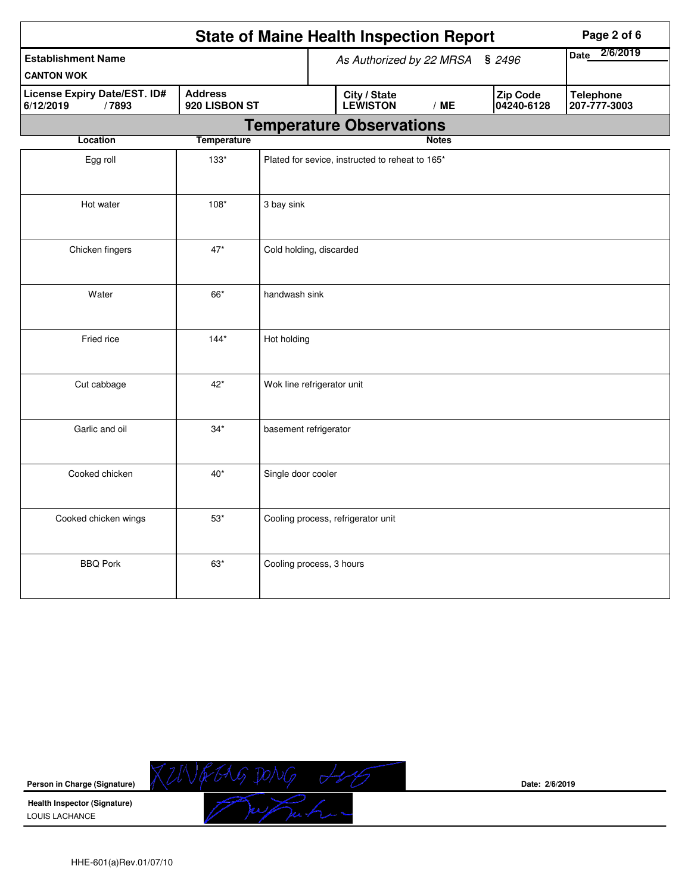|                                                    |                      |                                 | <b>State of Maine Health Inspection Report</b>  | Page 2 of 6            |                                  |  |
|----------------------------------------------------|----------------------|---------------------------------|-------------------------------------------------|------------------------|----------------------------------|--|
| <b>Establishment Name</b><br><b>CANTON WOK</b>     |                      | As Authorized by 22 MRSA § 2496 |                                                 |                        | 2/6/2019<br>Date                 |  |
| License Expiry Date/EST. ID#<br>6/12/2019<br>/7893 | 920 LISBON ST        | City / State<br><b>LEWISTON</b> | /ME                                             | Zip Code<br>04240-6128 | <b>Telephone</b><br>207-777-3003 |  |
|                                                    |                      |                                 | <b>Temperature Observations</b>                 |                        |                                  |  |
| <b>Temperature</b><br>Location                     |                      |                                 |                                                 | <b>Notes</b>           |                                  |  |
| Egg roll                                           | $133*$               |                                 | Plated for sevice, instructed to reheat to 165* |                        |                                  |  |
| Hot water                                          | $108*$<br>3 bay sink |                                 |                                                 |                        |                                  |  |
| Chicken fingers                                    | $47*$                | Cold holding, discarded         |                                                 |                        |                                  |  |
| Water<br>66*<br>handwash sink                      |                      |                                 |                                                 |                        |                                  |  |
| Fried rice                                         | $144*$               | Hot holding                     |                                                 |                        |                                  |  |
| Cut cabbage                                        | $42*$                | Wok line refrigerator unit      |                                                 |                        |                                  |  |
| Garlic and oil                                     | $34*$                | basement refrigerator           |                                                 |                        |                                  |  |
| Cooked chicken                                     | $40*$                | Single door cooler              |                                                 |                        |                                  |  |
| Cooked chicken wings                               | $53*$                |                                 | Cooling process, refrigerator unit              |                        |                                  |  |
| <b>BBQ Pork</b>                                    | $63*$                | Cooling process, 3 hours        |                                                 |                        |                                  |  |

**Person in Charge (Signature)**

**Health Inspector (Signature)**  LOUIS LACHANCE

**Date: 2/6/2019**

HHE-601(a)Rev.01/07/10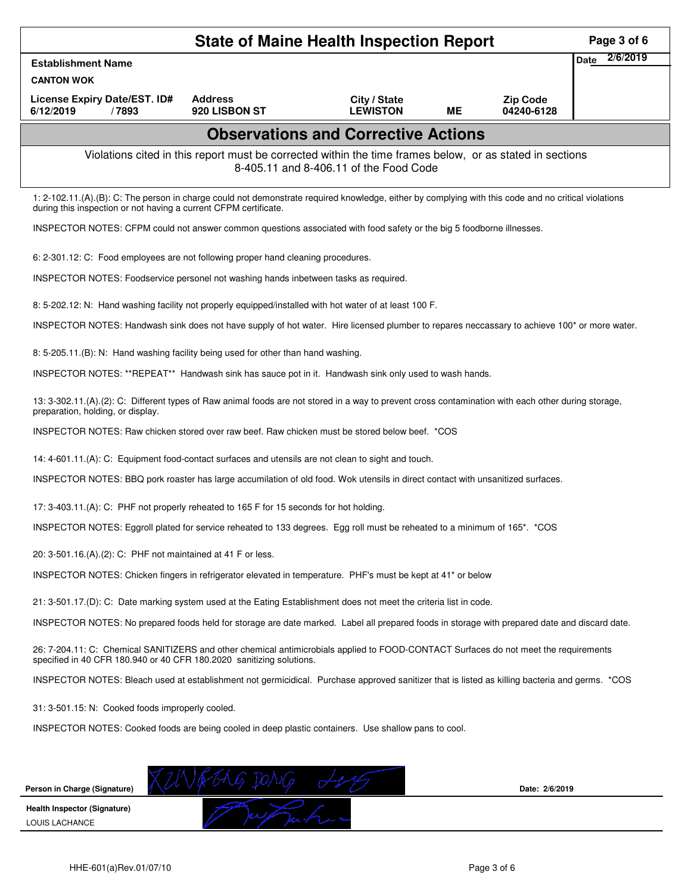| <b>State of Maine Health Inspection Report</b><br>Page 3 of 6                                                                                                                                                |                                                                                                                                                                                                                          |                                 |    |                               |                         |  |  |  |  |
|--------------------------------------------------------------------------------------------------------------------------------------------------------------------------------------------------------------|--------------------------------------------------------------------------------------------------------------------------------------------------------------------------------------------------------------------------|---------------------------------|----|-------------------------------|-------------------------|--|--|--|--|
| <b>Establishment Name</b>                                                                                                                                                                                    |                                                                                                                                                                                                                          |                                 |    |                               | 2/6/2019<br><b>Date</b> |  |  |  |  |
| <b>CANTON WOK</b>                                                                                                                                                                                            |                                                                                                                                                                                                                          |                                 |    |                               |                         |  |  |  |  |
| License Expiry Date/EST. ID#<br>6/12/2019<br>/7893                                                                                                                                                           | <b>Address</b><br>920 LISBON ST                                                                                                                                                                                          | City / State<br><b>LEWISTON</b> | ME | <b>Zip Code</b><br>04240-6128 |                         |  |  |  |  |
| <b>Observations and Corrective Actions</b>                                                                                                                                                                   |                                                                                                                                                                                                                          |                                 |    |                               |                         |  |  |  |  |
| Violations cited in this report must be corrected within the time frames below, or as stated in sections<br>8-405.11 and 8-406.11 of the Food Code                                                           |                                                                                                                                                                                                                          |                                 |    |                               |                         |  |  |  |  |
|                                                                                                                                                                                                              | 1: 2-102.11.(A).(B): C: The person in charge could not demonstrate required knowledge, either by complying with this code and no critical violations<br>during this inspection or not having a current CFPM certificate. |                                 |    |                               |                         |  |  |  |  |
| INSPECTOR NOTES: CFPM could not answer common questions associated with food safety or the big 5 foodborne illnesses.                                                                                        |                                                                                                                                                                                                                          |                                 |    |                               |                         |  |  |  |  |
| 6: 2-301.12: C: Food employees are not following proper hand cleaning procedures.                                                                                                                            |                                                                                                                                                                                                                          |                                 |    |                               |                         |  |  |  |  |
| INSPECTOR NOTES: Foodservice personel not washing hands inbetween tasks as required.                                                                                                                         |                                                                                                                                                                                                                          |                                 |    |                               |                         |  |  |  |  |
| 8: 5-202.12: N: Hand washing facility not properly equipped/installed with hot water of at least 100 F.                                                                                                      |                                                                                                                                                                                                                          |                                 |    |                               |                         |  |  |  |  |
| INSPECTOR NOTES: Handwash sink does not have supply of hot water. Hire licensed plumber to repares neccassary to achieve 100* or more water.                                                                 |                                                                                                                                                                                                                          |                                 |    |                               |                         |  |  |  |  |
| 8: 5-205.11.(B): N: Hand washing facility being used for other than hand washing.                                                                                                                            |                                                                                                                                                                                                                          |                                 |    |                               |                         |  |  |  |  |
| INSPECTOR NOTES: **REPEAT** Handwash sink has sauce pot in it. Handwash sink only used to wash hands.                                                                                                        |                                                                                                                                                                                                                          |                                 |    |                               |                         |  |  |  |  |
| 13: 3-302.11.(A).(2): C: Different types of Raw animal foods are not stored in a way to prevent cross contamination with each other during storage,<br>preparation, holding, or display.                     |                                                                                                                                                                                                                          |                                 |    |                               |                         |  |  |  |  |
| INSPECTOR NOTES: Raw chicken stored over raw beef. Raw chicken must be stored below beef. *COS                                                                                                               |                                                                                                                                                                                                                          |                                 |    |                               |                         |  |  |  |  |
| 14: 4-601.11.(A): C: Equipment food-contact surfaces and utensils are not clean to sight and touch.                                                                                                          |                                                                                                                                                                                                                          |                                 |    |                               |                         |  |  |  |  |
| INSPECTOR NOTES: BBQ pork roaster has large accumilation of old food. Wok utensils in direct contact with unsanitized surfaces.                                                                              |                                                                                                                                                                                                                          |                                 |    |                               |                         |  |  |  |  |
| 17: 3-403.11.(A): C: PHF not properly reheated to 165 F for 15 seconds for hot holding.                                                                                                                      |                                                                                                                                                                                                                          |                                 |    |                               |                         |  |  |  |  |
| INSPECTOR NOTES: Eggroll plated for service reheated to 133 degrees. Egg roll must be reheated to a minimum of 165*. *COS                                                                                    |                                                                                                                                                                                                                          |                                 |    |                               |                         |  |  |  |  |
| 20: 3-501.16.(A).(2): C: PHF not maintained at 41 F or less.                                                                                                                                                 |                                                                                                                                                                                                                          |                                 |    |                               |                         |  |  |  |  |
| INSPECTOR NOTES: Chicken fingers in refrigerator elevated in temperature. PHF's must be kept at 41* or below                                                                                                 |                                                                                                                                                                                                                          |                                 |    |                               |                         |  |  |  |  |
| 21: 3-501.17.(D): C: Date marking system used at the Eating Establishment does not meet the criteria list in code.                                                                                           |                                                                                                                                                                                                                          |                                 |    |                               |                         |  |  |  |  |
| INSPECTOR NOTES: No prepared foods held for storage are date marked. Label all prepared foods in storage with prepared date and discard date.                                                                |                                                                                                                                                                                                                          |                                 |    |                               |                         |  |  |  |  |
| 26: 7-204.11: C: Chemical SANITIZERS and other chemical antimicrobials applied to FOOD-CONTACT Surfaces do not meet the requirements<br>specified in 40 CFR 180.940 or 40 CFR 180.2020 sanitizing solutions. |                                                                                                                                                                                                                          |                                 |    |                               |                         |  |  |  |  |
| INSPECTOR NOTES: Bleach used at establishment not germicidical. Purchase approved sanitizer that is listed as killing bacteria and germs. *COS                                                               |                                                                                                                                                                                                                          |                                 |    |                               |                         |  |  |  |  |
| 31: 3-501.15: N: Cooked foods improperly cooled.                                                                                                                                                             |                                                                                                                                                                                                                          |                                 |    |                               |                         |  |  |  |  |
| INSPECTOR NOTES: Cooked foods are being cooled in deep plastic containers. Use shallow pans to cool.                                                                                                         |                                                                                                                                                                                                                          |                                 |    |                               |                         |  |  |  |  |
|                                                                                                                                                                                                              |                                                                                                                                                                                                                          |                                 |    |                               |                         |  |  |  |  |
| Person in Charge (Signature)                                                                                                                                                                                 |                                                                                                                                                                                                                          |                                 |    | Date: 2/6/2019                |                         |  |  |  |  |
| Health Inspector (Signature)                                                                                                                                                                                 |                                                                                                                                                                                                                          |                                 |    |                               |                         |  |  |  |  |
| LOUIS LACHANCE                                                                                                                                                                                               |                                                                                                                                                                                                                          |                                 |    |                               |                         |  |  |  |  |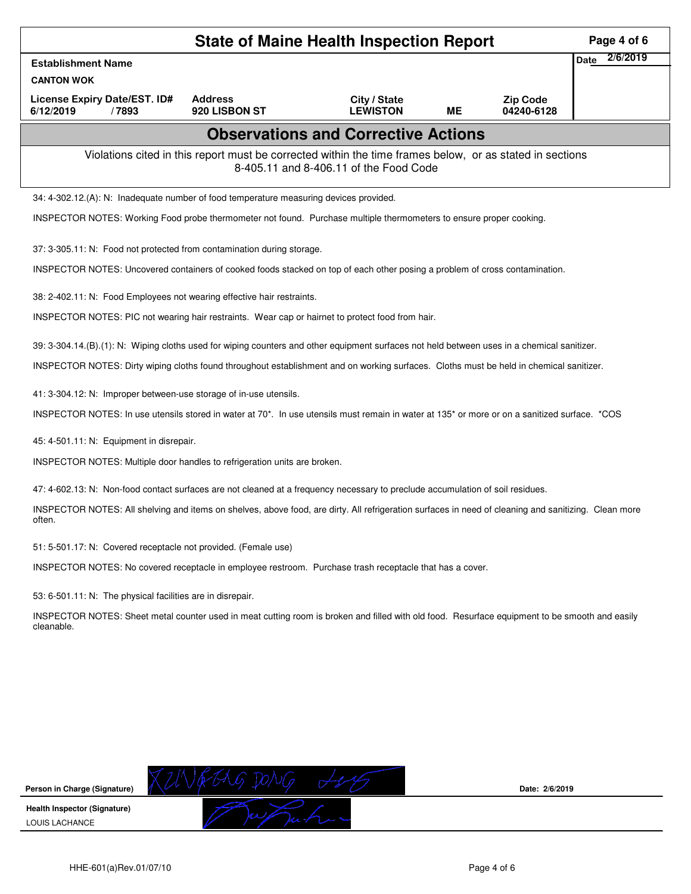| <b>State of Maine Health Inspection Report</b><br>Page 4 of 6                                                                                                                                                                               |                                 |                                            |           |                               |                         |  |  |  |
|---------------------------------------------------------------------------------------------------------------------------------------------------------------------------------------------------------------------------------------------|---------------------------------|--------------------------------------------|-----------|-------------------------------|-------------------------|--|--|--|
| <b>Establishment Name</b>                                                                                                                                                                                                                   |                                 |                                            |           |                               | 2/6/2019<br><b>Date</b> |  |  |  |
| <b>CANTON WOK</b>                                                                                                                                                                                                                           |                                 |                                            |           |                               |                         |  |  |  |
| License Expiry Date/EST. ID#<br>6/12/2019<br>/7893                                                                                                                                                                                          | <b>Address</b><br>920 LISBON ST | City / State<br><b>LEWISTON</b>            | <b>ME</b> | <b>Zip Code</b><br>04240-6128 |                         |  |  |  |
|                                                                                                                                                                                                                                             |                                 | <b>Observations and Corrective Actions</b> |           |                               |                         |  |  |  |
| Violations cited in this report must be corrected within the time frames below, or as stated in sections<br>8-405.11 and 8-406.11 of the Food Code                                                                                          |                                 |                                            |           |                               |                         |  |  |  |
| 34: 4-302.12.(A): N: Inadequate number of food temperature measuring devices provided.                                                                                                                                                      |                                 |                                            |           |                               |                         |  |  |  |
| INSPECTOR NOTES: Working Food probe thermometer not found. Purchase multiple thermometers to ensure proper cooking.                                                                                                                         |                                 |                                            |           |                               |                         |  |  |  |
| 37: 3-305.11: N: Food not protected from contamination during storage.                                                                                                                                                                      |                                 |                                            |           |                               |                         |  |  |  |
| INSPECTOR NOTES: Uncovered containers of cooked foods stacked on top of each other posing a problem of cross contamination.                                                                                                                 |                                 |                                            |           |                               |                         |  |  |  |
| 38: 2-402.11: N: Food Employees not wearing effective hair restraints.                                                                                                                                                                      |                                 |                                            |           |                               |                         |  |  |  |
| INSPECTOR NOTES: PIC not wearing hair restraints. Wear cap or hairnet to protect food from hair.                                                                                                                                            |                                 |                                            |           |                               |                         |  |  |  |
| 39: 3-304.14.(B).(1): N: Wiping cloths used for wiping counters and other equipment surfaces not held between uses in a chemical sanitizer.                                                                                                 |                                 |                                            |           |                               |                         |  |  |  |
| INSPECTOR NOTES: Dirty wiping cloths found throughout establishment and on working surfaces. Cloths must be held in chemical sanitizer.                                                                                                     |                                 |                                            |           |                               |                         |  |  |  |
|                                                                                                                                                                                                                                             |                                 |                                            |           |                               |                         |  |  |  |
| 41: 3-304.12: N: Improper between-use storage of in-use utensils.<br>INSPECTOR NOTES: In use utensils stored in water at 70 <sup>*</sup> . In use utensils must remain in water at 135 <sup>*</sup> or more or on a sanitized surface. *COS |                                 |                                            |           |                               |                         |  |  |  |
|                                                                                                                                                                                                                                             |                                 |                                            |           |                               |                         |  |  |  |
| 45: 4-501.11: N: Equipment in disrepair.                                                                                                                                                                                                    |                                 |                                            |           |                               |                         |  |  |  |
| INSPECTOR NOTES: Multiple door handles to refrigeration units are broken.                                                                                                                                                                   |                                 |                                            |           |                               |                         |  |  |  |
| 47: 4-602.13: N: Non-food contact surfaces are not cleaned at a frequency necessary to preclude accumulation of soil residues.                                                                                                              |                                 |                                            |           |                               |                         |  |  |  |
| INSPECTOR NOTES: All shelving and items on shelves, above food, are dirty. All refrigeration surfaces in need of cleaning and sanitizing. Clean more<br>often.                                                                              |                                 |                                            |           |                               |                         |  |  |  |
| 51: 5-501.17: N: Covered receptacle not provided. (Female use)                                                                                                                                                                              |                                 |                                            |           |                               |                         |  |  |  |
| INSPECTOR NOTES: No covered receptacle in employee restroom. Purchase trash receptacle that has a cover.                                                                                                                                    |                                 |                                            |           |                               |                         |  |  |  |
| 53: 6-501.11: N: The physical facilities are in disrepair.                                                                                                                                                                                  |                                 |                                            |           |                               |                         |  |  |  |
| INSPECTOR NOTES: Sheet metal counter used in meat cutting room is broken and filled with old food. Resurface equipment to be smooth and easily<br>cleanable.                                                                                |                                 |                                            |           |                               |                         |  |  |  |
|                                                                                                                                                                                                                                             |                                 |                                            |           |                               |                         |  |  |  |
|                                                                                                                                                                                                                                             |                                 |                                            |           |                               |                         |  |  |  |
|                                                                                                                                                                                                                                             |                                 |                                            |           |                               |                         |  |  |  |
|                                                                                                                                                                                                                                             |                                 |                                            |           |                               |                         |  |  |  |
|                                                                                                                                                                                                                                             |                                 |                                            |           |                               |                         |  |  |  |
|                                                                                                                                                                                                                                             |                                 |                                            |           |                               |                         |  |  |  |
| Person in Charge (Signature)                                                                                                                                                                                                                |                                 |                                            |           | Date: 2/6/2019                |                         |  |  |  |
| <b>Health Inspector (Signature)</b><br>LOUIS LACHANCE                                                                                                                                                                                       |                                 |                                            |           |                               |                         |  |  |  |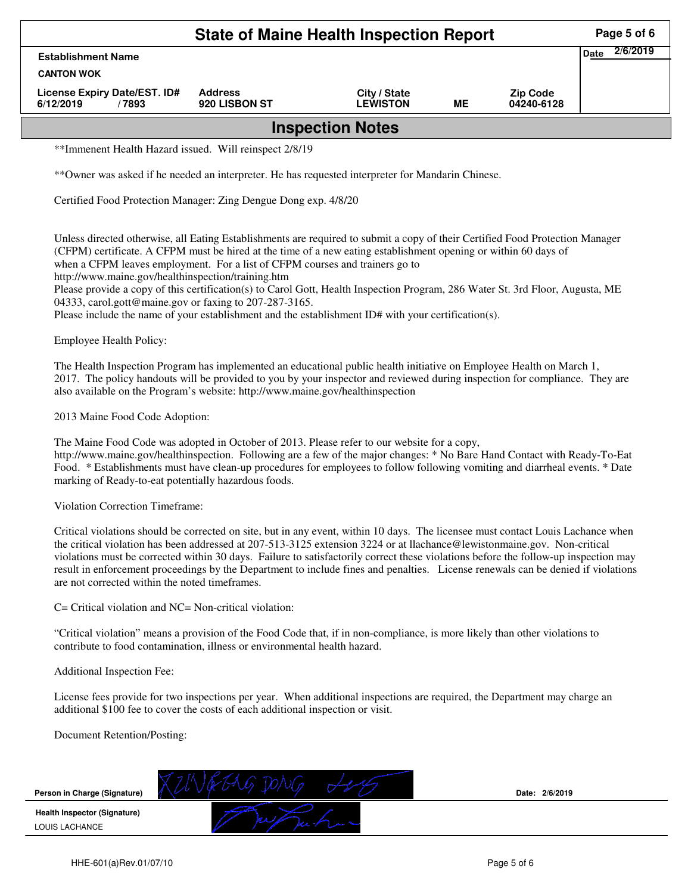| <b>State of Maine Health Inspection Report</b>     |                                 |                                 |    |                               |  |  |  |  |
|----------------------------------------------------|---------------------------------|---------------------------------|----|-------------------------------|--|--|--|--|
| <b>Establishment Name</b><br><b>CANTON WOK</b>     |                                 |                                 |    |                               |  |  |  |  |
| License Expiry Date/EST. ID#<br>6/12/2019<br>/7893 | <b>Address</b><br>920 LISBON ST | City / State<br><b>LEWISTON</b> | ME | <b>Zip Code</b><br>04240-6128 |  |  |  |  |
| <b>Inspection Notes</b>                            |                                 |                                 |    |                               |  |  |  |  |

\*\*Immenent Health Hazard issued. Will reinspect 2/8/19

\*\*Owner was asked if he needed an interpreter. He has requested interpreter for Mandarin Chinese.

Certified Food Protection Manager: Zing Dengue Dong exp. 4/8/20

Unless directed otherwise, all Eating Establishments are required to submit a copy of their Certified Food Protection Manager (CFPM) certificate. A CFPM must be hired at the time of a new eating establishment opening or within 60 days of when a CFPM leaves employment. For a list of CFPM courses and trainers go to

http://www.maine.gov/healthinspection/training.htm

Please provide a copy of this certification(s) to Carol Gott, Health Inspection Program, 286 Water St. 3rd Floor, Augusta, ME 04333, carol.gott@maine.gov or faxing to 207-287-3165.

Please include the name of your establishment and the establishment ID# with your certification(s).

Employee Health Policy:

The Health Inspection Program has implemented an educational public health initiative on Employee Health on March 1, 2017. The policy handouts will be provided to you by your inspector and reviewed during inspection for compliance. They are also available on the Program's website: http://www.maine.gov/healthinspection

2013 Maine Food Code Adoption:

The Maine Food Code was adopted in October of 2013. Please refer to our website for a copy, http://www.maine.gov/healthinspection. Following are a few of the major changes: \* No Bare Hand Contact with Ready-To-Eat Food. \* Establishments must have clean-up procedures for employees to follow following vomiting and diarrheal events. \* Date marking of Ready-to-eat potentially hazardous foods.

Violation Correction Timeframe:

Critical violations should be corrected on site, but in any event, within 10 days. The licensee must contact Louis Lachance when the critical violation has been addressed at 207-513-3125 extension 3224 or at llachance@lewistonmaine.gov. Non-critical violations must be corrected within 30 days. Failure to satisfactorily correct these violations before the follow-up inspection may result in enforcement proceedings by the Department to include fines and penalties. License renewals can be denied if violations are not corrected within the noted timeframes.

C= Critical violation and NC= Non-critical violation:

"Critical violation" means a provision of the Food Code that, if in non-compliance, is more likely than other violations to contribute to food contamination, illness or environmental health hazard.

Additional Inspection Fee:

License fees provide for two inspections per year. When additional inspections are required, the Department may charge an additional \$100 fee to cover the costs of each additional inspection or visit.

Document Retention/Posting: